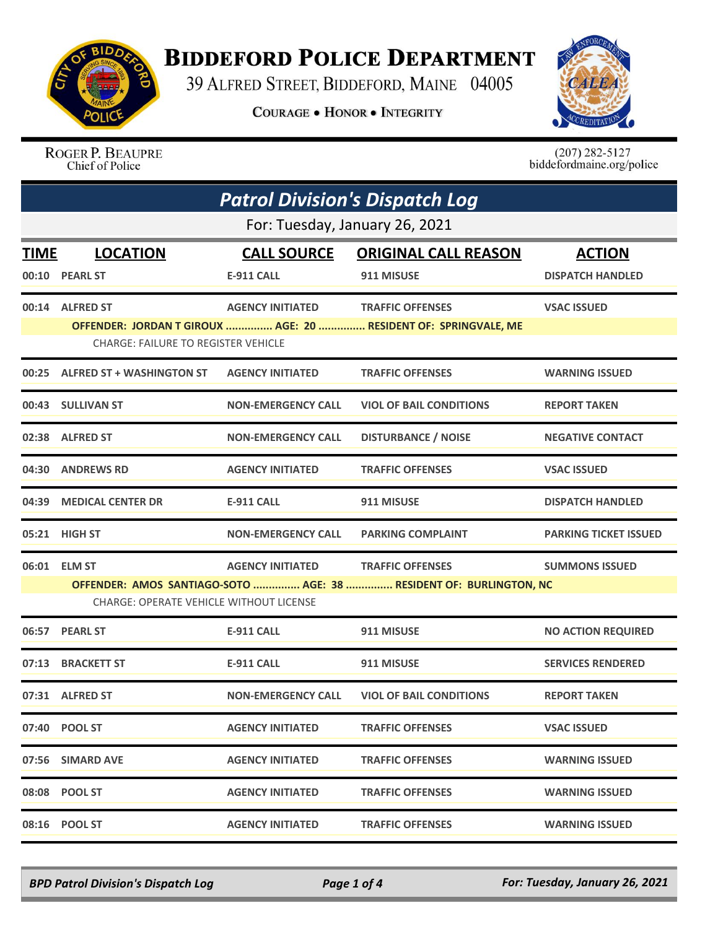

## **BIDDEFORD POLICE DEPARTMENT**

39 ALFRED STREET, BIDDEFORD, MAINE 04005

**COURAGE . HONOR . INTEGRITY** 



ROGER P. BEAUPRE Chief of Police

 $(207)$  282-5127<br>biddefordmaine.org/police

| <b>Patrol Division's Dispatch Log</b> |                                                                                                                      |                           |                                |                              |  |  |
|---------------------------------------|----------------------------------------------------------------------------------------------------------------------|---------------------------|--------------------------------|------------------------------|--|--|
|                                       | For: Tuesday, January 26, 2021                                                                                       |                           |                                |                              |  |  |
| <b>TIME</b>                           | <b>LOCATION</b>                                                                                                      | <b>CALL SOURCE</b>        | <b>ORIGINAL CALL REASON</b>    | <b>ACTION</b>                |  |  |
| 00:10                                 | <b>PEARL ST</b>                                                                                                      | E-911 CALL                | 911 MISUSE                     | <b>DISPATCH HANDLED</b>      |  |  |
|                                       | 00:14 ALFRED ST                                                                                                      | <b>AGENCY INITIATED</b>   | <b>TRAFFIC OFFENSES</b>        | <b>VSAC ISSUED</b>           |  |  |
|                                       | OFFENDER: JORDAN T GIROUX  AGE: 20  RESIDENT OF: SPRINGVALE, ME<br><b>CHARGE: FAILURE TO REGISTER VEHICLE</b>        |                           |                                |                              |  |  |
|                                       | 00:25 ALFRED ST + WASHINGTON ST                                                                                      | <b>AGENCY INITIATED</b>   | <b>TRAFFIC OFFENSES</b>        | <b>WARNING ISSUED</b>        |  |  |
|                                       | 00:43 SULLIVAN ST                                                                                                    | <b>NON-EMERGENCY CALL</b> | <b>VIOL OF BAIL CONDITIONS</b> | <b>REPORT TAKEN</b>          |  |  |
| 02:38                                 | <b>ALFRED ST</b>                                                                                                     | <b>NON-EMERGENCY CALL</b> | <b>DISTURBANCE / NOISE</b>     | <b>NEGATIVE CONTACT</b>      |  |  |
|                                       | 04:30 ANDREWS RD                                                                                                     | <b>AGENCY INITIATED</b>   | <b>TRAFFIC OFFENSES</b>        | <b>VSAC ISSUED</b>           |  |  |
| 04:39                                 | <b>MEDICAL CENTER DR</b>                                                                                             | <b>E-911 CALL</b>         | 911 MISUSE                     | <b>DISPATCH HANDLED</b>      |  |  |
|                                       | 05:21 HIGH ST                                                                                                        | <b>NON-EMERGENCY CALL</b> | <b>PARKING COMPLAINT</b>       | <b>PARKING TICKET ISSUED</b> |  |  |
|                                       | 06:01 ELM ST                                                                                                         | <b>AGENCY INITIATED</b>   | <b>TRAFFIC OFFENSES</b>        | <b>SUMMONS ISSUED</b>        |  |  |
|                                       | OFFENDER: AMOS SANTIAGO-SOTO  AGE: 38  RESIDENT OF: BURLINGTON, NC<br><b>CHARGE: OPERATE VEHICLE WITHOUT LICENSE</b> |                           |                                |                              |  |  |
|                                       | 06:57 PEARL ST                                                                                                       | <b>E-911 CALL</b>         | 911 MISUSE                     | <b>NO ACTION REQUIRED</b>    |  |  |
| 07:13                                 | <b>BRACKETT ST</b>                                                                                                   | <b>E-911 CALL</b>         | 911 MISUSE                     | <b>SERVICES RENDERED</b>     |  |  |
|                                       | 07:31 ALFRED ST                                                                                                      | <b>NON-EMERGENCY CALL</b> | <b>VIOL OF BAIL CONDITIONS</b> | <b>REPORT TAKEN</b>          |  |  |
|                                       | 07:40 POOL ST                                                                                                        | <b>AGENCY INITIATED</b>   | <b>TRAFFIC OFFENSES</b>        | <b>VSAC ISSUED</b>           |  |  |
|                                       | 07:56 SIMARD AVE                                                                                                     | <b>AGENCY INITIATED</b>   | <b>TRAFFIC OFFENSES</b>        | <b>WARNING ISSUED</b>        |  |  |
|                                       | 08:08 POOL ST                                                                                                        | <b>AGENCY INITIATED</b>   | <b>TRAFFIC OFFENSES</b>        | <b>WARNING ISSUED</b>        |  |  |
|                                       | 08:16 POOL ST                                                                                                        | <b>AGENCY INITIATED</b>   | <b>TRAFFIC OFFENSES</b>        | <b>WARNING ISSUED</b>        |  |  |

*BPD Patrol Division's Dispatch Log Page 1 of 4 For: Tuesday, January 26, 2021*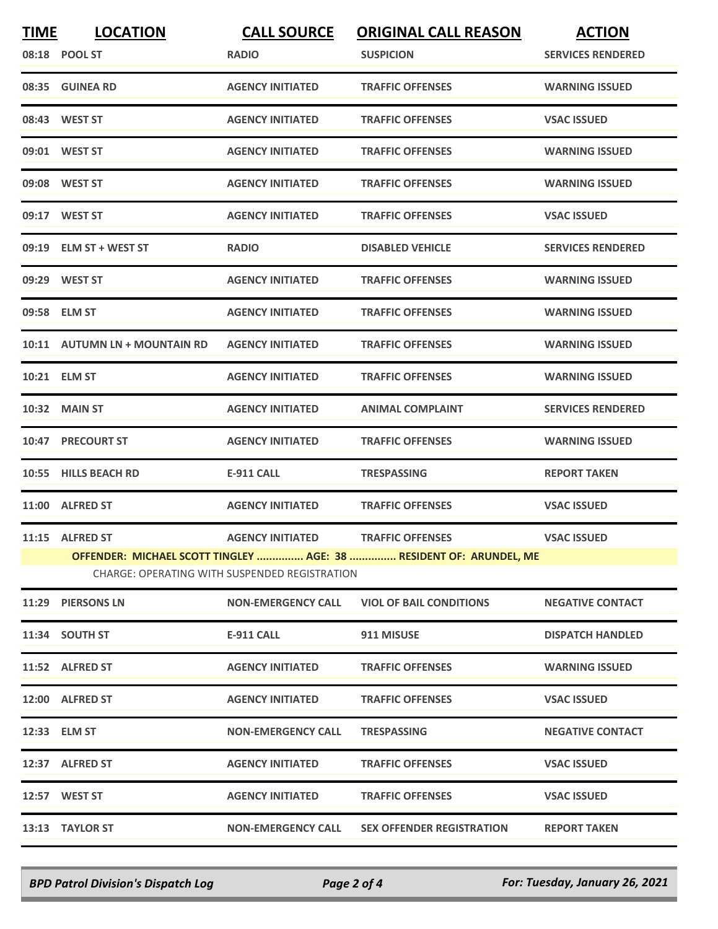| <b>TIME</b> | <b>LOCATION</b>               | <b>CALL SOURCE</b>                            | <b>ORIGINAL CALL REASON</b>                                        | <b>ACTION</b>            |
|-------------|-------------------------------|-----------------------------------------------|--------------------------------------------------------------------|--------------------------|
|             | 08:18 POOL ST                 | <b>RADIO</b>                                  | <b>SUSPICION</b>                                                   | <b>SERVICES RENDERED</b> |
|             | 08:35 GUINEA RD               | <b>AGENCY INITIATED</b>                       | <b>TRAFFIC OFFENSES</b>                                            | <b>WARNING ISSUED</b>    |
|             | 08:43 WEST ST                 | <b>AGENCY INITIATED</b>                       | <b>TRAFFIC OFFENSES</b>                                            | <b>VSAC ISSUED</b>       |
|             | 09:01 WEST ST                 | <b>AGENCY INITIATED</b>                       | <b>TRAFFIC OFFENSES</b>                                            | <b>WARNING ISSUED</b>    |
|             | 09:08 WEST ST                 | <b>AGENCY INITIATED</b>                       | <b>TRAFFIC OFFENSES</b>                                            | <b>WARNING ISSUED</b>    |
|             | 09:17 WEST ST                 | <b>AGENCY INITIATED</b>                       | <b>TRAFFIC OFFENSES</b>                                            | <b>VSAC ISSUED</b>       |
|             | 09:19 ELM ST + WEST ST        | <b>RADIO</b>                                  | <b>DISABLED VEHICLE</b>                                            | <b>SERVICES RENDERED</b> |
|             | 09:29 WEST ST                 | <b>AGENCY INITIATED</b>                       | <b>TRAFFIC OFFENSES</b>                                            | <b>WARNING ISSUED</b>    |
|             | 09:58 ELM ST                  | <b>AGENCY INITIATED</b>                       | <b>TRAFFIC OFFENSES</b>                                            | <b>WARNING ISSUED</b>    |
|             | 10:11 AUTUMN LN + MOUNTAIN RD | <b>AGENCY INITIATED</b>                       | <b>TRAFFIC OFFENSES</b>                                            | <b>WARNING ISSUED</b>    |
|             | 10:21 ELM ST                  | <b>AGENCY INITIATED</b>                       | <b>TRAFFIC OFFENSES</b>                                            | <b>WARNING ISSUED</b>    |
|             | <b>10:32 MAIN ST</b>          | <b>AGENCY INITIATED</b>                       | <b>ANIMAL COMPLAINT</b>                                            | <b>SERVICES RENDERED</b> |
|             | 10:47 PRECOURT ST             | <b>AGENCY INITIATED</b>                       | <b>TRAFFIC OFFENSES</b>                                            | <b>WARNING ISSUED</b>    |
|             | 10:55 HILLS BEACH RD          | <b>E-911 CALL</b>                             | <b>TRESPASSING</b>                                                 | <b>REPORT TAKEN</b>      |
|             | 11:00 ALFRED ST               | <b>AGENCY INITIATED</b>                       | <b>TRAFFIC OFFENSES</b>                                            | <b>VSAC ISSUED</b>       |
|             | 11:15 ALFRED ST               | <b>AGENCY INITIATED</b>                       | <b>TRAFFIC OFFENSES</b>                                            | <b>VSAC ISSUED</b>       |
|             |                               | CHARGE: OPERATING WITH SUSPENDED REGISTRATION | OFFENDER: MICHAEL SCOTT TINGLEY  AGE: 38  RESIDENT OF: ARUNDEL, ME |                          |
|             | 11:29 PIERSONS LN             | <b>NON-EMERGENCY CALL</b>                     | <b>VIOL OF BAIL CONDITIONS</b>                                     | <b>NEGATIVE CONTACT</b>  |
|             | 11:34 SOUTH ST                | E-911 CALL                                    | 911 MISUSE                                                         | <b>DISPATCH HANDLED</b>  |
|             | 11:52 ALFRED ST               | <b>AGENCY INITIATED</b>                       | <b>TRAFFIC OFFENSES</b>                                            | <b>WARNING ISSUED</b>    |
|             | 12:00 ALFRED ST               | <b>AGENCY INITIATED</b>                       | <b>TRAFFIC OFFENSES</b>                                            | <b>VSAC ISSUED</b>       |
|             | 12:33 ELM ST                  | <b>NON-EMERGENCY CALL</b>                     | <b>TRESPASSING</b>                                                 | <b>NEGATIVE CONTACT</b>  |
|             | 12:37 ALFRED ST               | <b>AGENCY INITIATED</b>                       | <b>TRAFFIC OFFENSES</b>                                            | <b>VSAC ISSUED</b>       |
|             | 12:57 WEST ST                 | <b>AGENCY INITIATED</b>                       | <b>TRAFFIC OFFENSES</b>                                            | <b>VSAC ISSUED</b>       |
|             | 13:13 TAYLOR ST               | <b>NON-EMERGENCY CALL</b>                     | <b>SEX OFFENDER REGISTRATION</b>                                   | <b>REPORT TAKEN</b>      |
|             |                               |                                               |                                                                    |                          |

*BPD Patrol Division's Dispatch Log Page 2 of 4 For: Tuesday, January 26, 2021*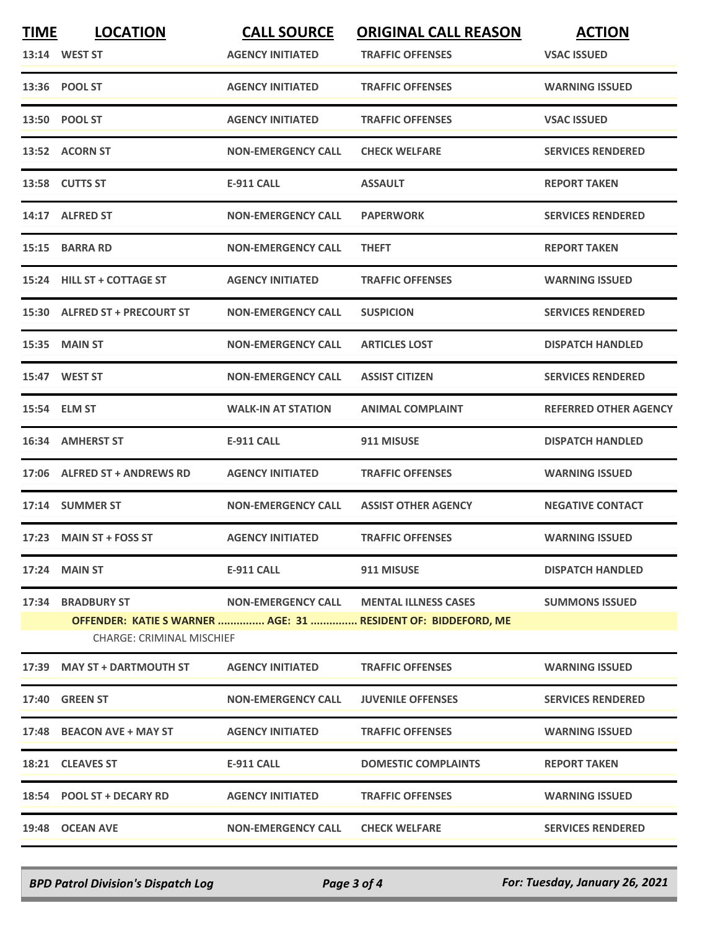| <b>TIME</b> | <b>LOCATION</b>                                       | <b>CALL SOURCE</b>        | <b>ORIGINAL CALL REASON</b>                                                                              | <b>ACTION</b>                |
|-------------|-------------------------------------------------------|---------------------------|----------------------------------------------------------------------------------------------------------|------------------------------|
|             | 13:14 WEST ST                                         | <b>AGENCY INITIATED</b>   | <b>TRAFFIC OFFENSES</b>                                                                                  | <b>VSAC ISSUED</b>           |
|             | 13:36 POOL ST                                         | <b>AGENCY INITIATED</b>   | <b>TRAFFIC OFFENSES</b>                                                                                  | <b>WARNING ISSUED</b>        |
|             | 13:50 POOL ST                                         | <b>AGENCY INITIATED</b>   | <b>TRAFFIC OFFENSES</b>                                                                                  | <b>VSAC ISSUED</b>           |
|             | 13:52 ACORN ST                                        | <b>NON-EMERGENCY CALL</b> | <b>CHECK WELFARE</b>                                                                                     | <b>SERVICES RENDERED</b>     |
|             | 13:58 CUTTS ST                                        | <b>E-911 CALL</b>         | <b>ASSAULT</b>                                                                                           | <b>REPORT TAKEN</b>          |
|             | 14:17 ALFRED ST                                       | <b>NON-EMERGENCY CALL</b> | <b>PAPERWORK</b>                                                                                         | <b>SERVICES RENDERED</b>     |
|             | 15:15 BARRA RD                                        | <b>NON-EMERGENCY CALL</b> | <b>THEFT</b>                                                                                             | <b>REPORT TAKEN</b>          |
|             | 15:24 HILL ST + COTTAGE ST                            | <b>AGENCY INITIATED</b>   | <b>TRAFFIC OFFENSES</b>                                                                                  | <b>WARNING ISSUED</b>        |
|             | 15:30 ALFRED ST + PRECOURT ST                         | <b>NON-EMERGENCY CALL</b> | <b>SUSPICION</b>                                                                                         | <b>SERVICES RENDERED</b>     |
|             | 15:35 MAIN ST                                         | <b>NON-EMERGENCY CALL</b> | <b>ARTICLES LOST</b>                                                                                     | <b>DISPATCH HANDLED</b>      |
|             | 15:47 WEST ST                                         | <b>NON-EMERGENCY CALL</b> | <b>ASSIST CITIZEN</b>                                                                                    | <b>SERVICES RENDERED</b>     |
|             | 15:54 ELM ST                                          | <b>WALK-IN AT STATION</b> | <b>ANIMAL COMPLAINT</b>                                                                                  | <b>REFERRED OTHER AGENCY</b> |
|             | 16:34 AMHERST ST                                      | <b>E-911 CALL</b>         | 911 MISUSE                                                                                               | <b>DISPATCH HANDLED</b>      |
|             | 17:06 ALFRED ST + ANDREWS RD                          | <b>AGENCY INITIATED</b>   | <b>TRAFFIC OFFENSES</b>                                                                                  | <b>WARNING ISSUED</b>        |
|             | 17:14 SUMMER ST                                       | <b>NON-EMERGENCY CALL</b> | <b>ASSIST OTHER AGENCY</b>                                                                               | <b>NEGATIVE CONTACT</b>      |
|             | 17:23 MAIN ST + FOSS ST                               | <b>AGENCY INITIATED</b>   | <b>TRAFFIC OFFENSES</b>                                                                                  | <b>WARNING ISSUED</b>        |
|             | <b>17:24 MAIN ST</b>                                  | <b>E-911 CALL</b>         | 911 MISUSE                                                                                               | <b>DISPATCH HANDLED</b>      |
|             | 17:34 BRADBURY ST<br><b>CHARGE: CRIMINAL MISCHIEF</b> |                           | NON-EMERGENCY CALL MENTAL ILLNESS CASES<br>OFFENDER: KATIE S WARNER  AGE: 31  RESIDENT OF: BIDDEFORD, ME | <b>SUMMONS ISSUED</b>        |
|             | 17:39 MAY ST + DARTMOUTH ST                           | <b>AGENCY INITIATED</b>   | <b>TRAFFIC OFFENSES</b>                                                                                  | <b>WARNING ISSUED</b>        |
|             | <b>17:40 GREEN ST</b>                                 | <b>NON-EMERGENCY CALL</b> | <b>JUVENILE OFFENSES</b>                                                                                 | <b>SERVICES RENDERED</b>     |
|             | 17:48 BEACON AVE + MAY ST                             | <b>AGENCY INITIATED</b>   | <b>TRAFFIC OFFENSES</b>                                                                                  | <b>WARNING ISSUED</b>        |
|             | 18:21 CLEAVES ST                                      | E-911 CALL                | <b>DOMESTIC COMPLAINTS</b>                                                                               | <b>REPORT TAKEN</b>          |
|             | 18:54 POOL ST + DECARY RD                             | <b>AGENCY INITIATED</b>   | <b>TRAFFIC OFFENSES</b>                                                                                  | <b>WARNING ISSUED</b>        |
|             | 19:48 OCEAN AVE                                       | <b>NON-EMERGENCY CALL</b> | <b>CHECK WELFARE</b>                                                                                     | <b>SERVICES RENDERED</b>     |
|             |                                                       |                           |                                                                                                          |                              |

*BPD Patrol Division's Dispatch Log Page 3 of 4 For: Tuesday, January 26, 2021*